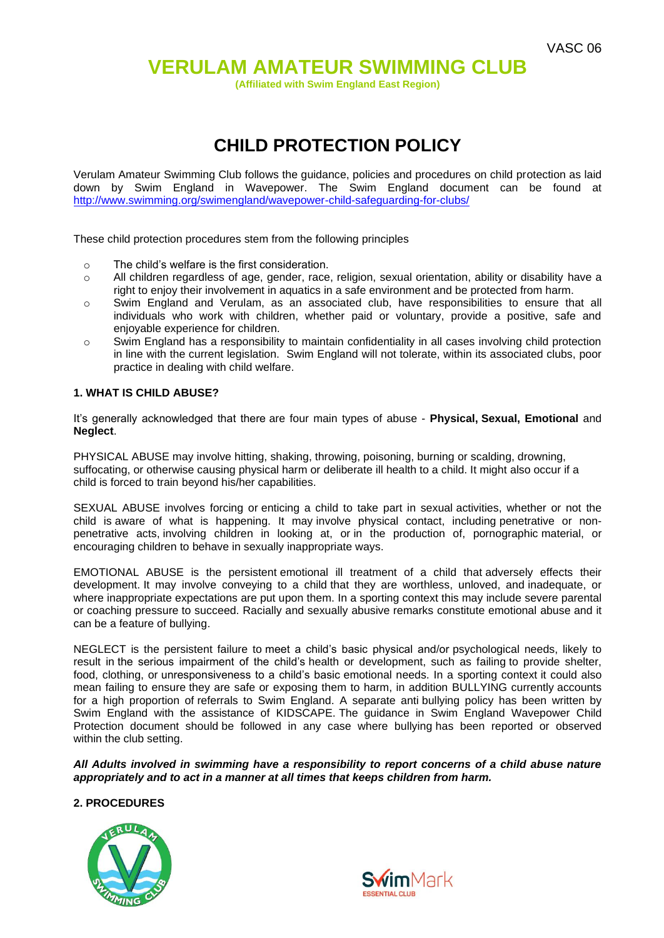## **VERULAM AMATEUR SWIMMING CLUB**

**(Affiliated with Swim England East Region)**

# **CHILD PROTECTION POLICY**

Verulam Amateur Swimming Club follows the guidance, policies and procedures on child protection as laid down by Swim England in Wavepower. The Swim England document can be found at <http://www.swimming.org/swimengland/wavepower-child-safeguarding-for-clubs/>

These child protection procedures stem from the following principles

- o The child's welfare is the first consideration.
- o All children regardless of age, gender, race, religion, sexual orientation, ability or disability have a right to enjoy their involvement in aquatics in a safe environment and be protected from harm.
- o Swim England and Verulam, as an associated club, have responsibilities to ensure that all individuals who work with children, whether paid or voluntary, provide a positive, safe and enjoyable experience for children.
- $\circ$  Swim England has a responsibility to maintain confidentiality in all cases involving child protection in line with the current legislation. Swim England will not tolerate, within its associated clubs, poor practice in dealing with child welfare.

### **1. WHAT IS CHILD ABUSE?**

It's generally acknowledged that there are four main types of abuse - **Physical, Sexual, Emotional** and **Neglect**.

PHYSICAL ABUSE may involve hitting, shaking, throwing, poisoning, burning or scalding, drowning, suffocating, or otherwise causing physical harm or deliberate ill health to a child. It might also occur if a child is forced to train beyond his/her capabilities.

SEXUAL ABUSE involves forcing or enticing a child to take part in sexual activities, whether or not the child is aware of what is happening. It may involve physical contact, including penetrative or nonpenetrative acts, involving children in looking at, or in the production of, pornographic material, or encouraging children to behave in sexually inappropriate ways.

EMOTIONAL ABUSE is the persistent emotional ill treatment of a child that adversely effects their development. It may involve conveying to a child that they are worthless, unloved, and inadequate, or where inappropriate expectations are put upon them. In a sporting context this may include severe parental or coaching pressure to succeed. Racially and sexually abusive remarks constitute emotional abuse and it can be a feature of bullying.

NEGLECT is the persistent failure to meet a child's basic physical and/or psychological needs, likely to result in the serious impairment of the child's health or development, such as failing to provide shelter, food, clothing, or unresponsiveness to a child's basic emotional needs. In a sporting context it could also mean failing to ensure they are safe or exposing them to harm, in addition BULLYING currently accounts for a high proportion of referrals to Swim England. A separate anti bullying policy has been written by Swim England with the assistance of KIDSCAPE. The guidance in Swim England Wavepower Child Protection document should be followed in any case where bullying has been reported or observed within the club setting.

*All Adults involved in swimming have a responsibility to report concerns of a child abuse nature appropriately and to act in a manner at all times that keeps children from harm.*

#### **2. PROCEDURES**



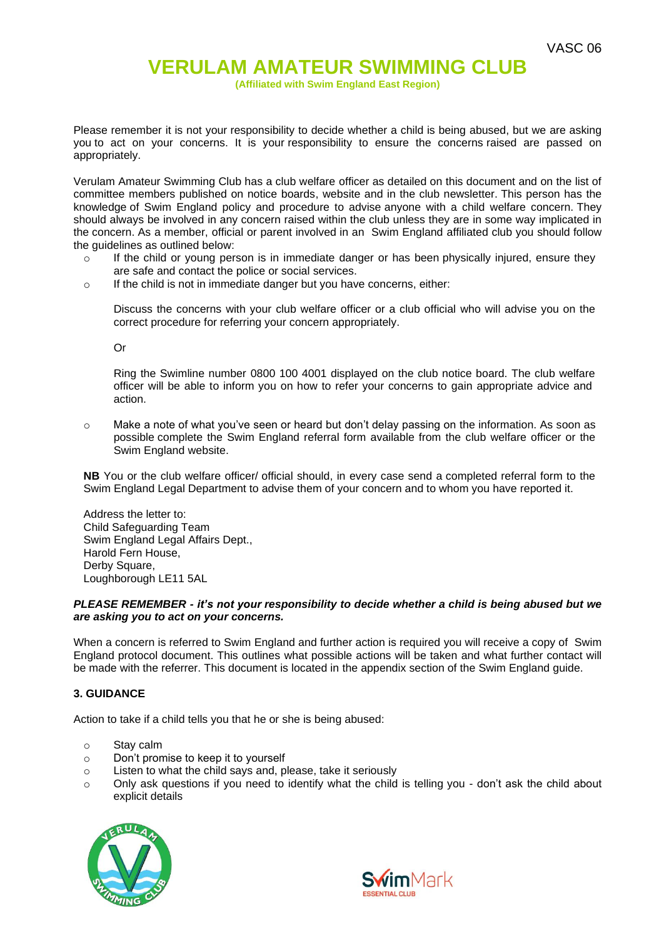**(Affiliated with Swim England East Region)**

Please remember it is not your responsibility to decide whether a child is being abused, but we are asking you to act on your concerns. It is your responsibility to ensure the concerns raised are passed on appropriately.

Verulam Amateur Swimming Club has a club welfare officer as detailed on this document and on the list of committee members published on notice boards, website and in the club newsletter. This person has the knowledge of Swim England policy and procedure to advise anyone with a child welfare concern. They should always be involved in any concern raised within the club unless they are in some way implicated in the concern. As a member, official or parent involved in an Swim England affiliated club you should follow the guidelines as outlined below:

- o If the child or young person is in immediate danger or has been physically injured, ensure they are safe and contact the police or social services.
- o If the child is not in immediate danger but you have concerns, either:

Discuss the concerns with your club welfare officer or a club official who will advise you on the correct procedure for referring your concern appropriately.

Or

Ring the Swimline number 0800 100 4001 displayed on the club notice board. The club welfare officer will be able to inform you on how to refer your concerns to gain appropriate advice and action.

 $\circ$  Make a note of what you've seen or heard but don't delay passing on the information. As soon as possible complete the Swim England referral form available from the club welfare officer or the Swim England website.

**NB** You or the club welfare officer/ official should, in every case send a completed referral form to the Swim England Legal Department to advise them of your concern and to whom you have reported it.

Address the letter to: Child Safeguarding Team Swim England Legal Affairs Dept., Harold Fern House, Derby Square, Loughborough LE11 5AL

#### *PLEASE REMEMBER - it's not your responsibility to decide whether a child is being abused but we are asking you to act on your concerns.*

When a concern is referred to Swim England and further action is required you will receive a copy of Swim England protocol document. This outlines what possible actions will be taken and what further contact will be made with the referrer. This document is located in the appendix section of the Swim England guide.

#### **3. GUIDANCE**

Action to take if a child tells you that he or she is being abused:

- o Stay calm
- o Don't promise to keep it to yourself
- o Listen to what the child says and, please, take it seriously
- o Only ask questions if you need to identify what the child is telling you don't ask the child about explicit details